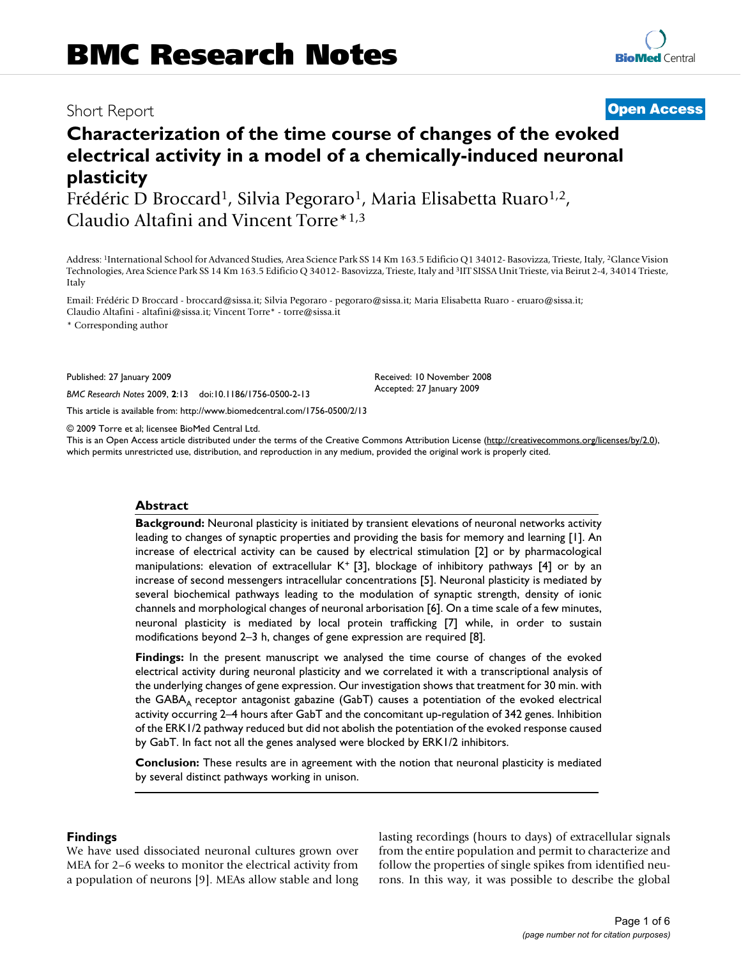## Short Report **[Open Access](http://www.biomedcentral.com/info/about/charter/)**

# **Characterization of the time course of changes of the evoked electrical activity in a model of a chemically-induced neuronal plasticity**

Frédéric D Broccard<sup>1</sup>, Silvia Pegoraro<sup>1</sup>, Maria Elisabetta Ruaro<sup>1,2</sup>, Claudio Altafini and Vincent Torre\*1,3

Address: 1International School for Advanced Studies, Area Science Park SS 14 Km 163.5 Edificio Q1 34012- Basovizza, Trieste, Italy, 2Glance Vision Technologies, Area Science Park SS 14 Km 163.5 Edificio Q 34012- Basovizza, Trieste, Italy and 3IIT SISSA Unit Trieste, via Beirut 2-4, 34014 Trieste, Italy

Email: Frédéric D Broccard - broccard@sissa.it; Silvia Pegoraro - pegoraro@sissa.it; Maria Elisabetta Ruaro - eruaro@sissa.it; Claudio Altafini - altafini@sissa.it; Vincent Torre\* - torre@sissa.it

\* Corresponding author

Published: 27 January 2009

*BMC Research Notes* 2009, **2**:13 doi:10.1186/1756-0500-2-13

[This article is available from: http://www.biomedcentral.com/1756-0500/2/13](http://www.biomedcentral.com/1756-0500/2/13)

© 2009 Torre et al; licensee BioMed Central Ltd.

This is an Open Access article distributed under the terms of the Creative Commons Attribution License [\(http://creativecommons.org/licenses/by/2.0\)](http://creativecommons.org/licenses/by/2.0), which permits unrestricted use, distribution, and reproduction in any medium, provided the original work is properly cited.

Received: 10 November 2008 Accepted: 27 January 2009

#### **Abstract**

**Background:** Neuronal plasticity is initiated by transient elevations of neuronal networks activity leading to changes of synaptic properties and providing the basis for memory and learning [1]. An increase of electrical activity can be caused by electrical stimulation [2] or by pharmacological manipulations: elevation of extracellular K<sup>+</sup> [3], blockage of inhibitory pathways [4] or by an increase of second messengers intracellular concentrations [5]. Neuronal plasticity is mediated by several biochemical pathways leading to the modulation of synaptic strength, density of ionic channels and morphological changes of neuronal arborisation [6]. On a time scale of a few minutes, neuronal plasticity is mediated by local protein trafficking [7] while, in order to sustain modifications beyond 2–3 h, changes of gene expression are required [8].

**Findings:** In the present manuscript we analysed the time course of changes of the evoked electrical activity during neuronal plasticity and we correlated it with a transcriptional analysis of the underlying changes of gene expression. Our investigation shows that treatment for 30 min. with the  $GABA_A$  receptor antagonist gabazine  $(GabT)$  causes a potentiation of the evoked electrical activity occurring 2–4 hours after GabT and the concomitant up-regulation of 342 genes. Inhibition of the ERK1/2 pathway reduced but did not abolish the potentiation of the evoked response caused by GabT. In fact not all the genes analysed were blocked by ERK1/2 inhibitors.

**Conclusion:** These results are in agreement with the notion that neuronal plasticity is mediated by several distinct pathways working in unison.

#### **Findings**

We have used dissociated neuronal cultures grown over MEA for 2–6 weeks to monitor the electrical activity from a population of neurons [9]. MEAs allow stable and long lasting recordings (hours to days) of extracellular signals from the entire population and permit to characterize and follow the properties of single spikes from identified neurons. In this way, it was possible to describe the global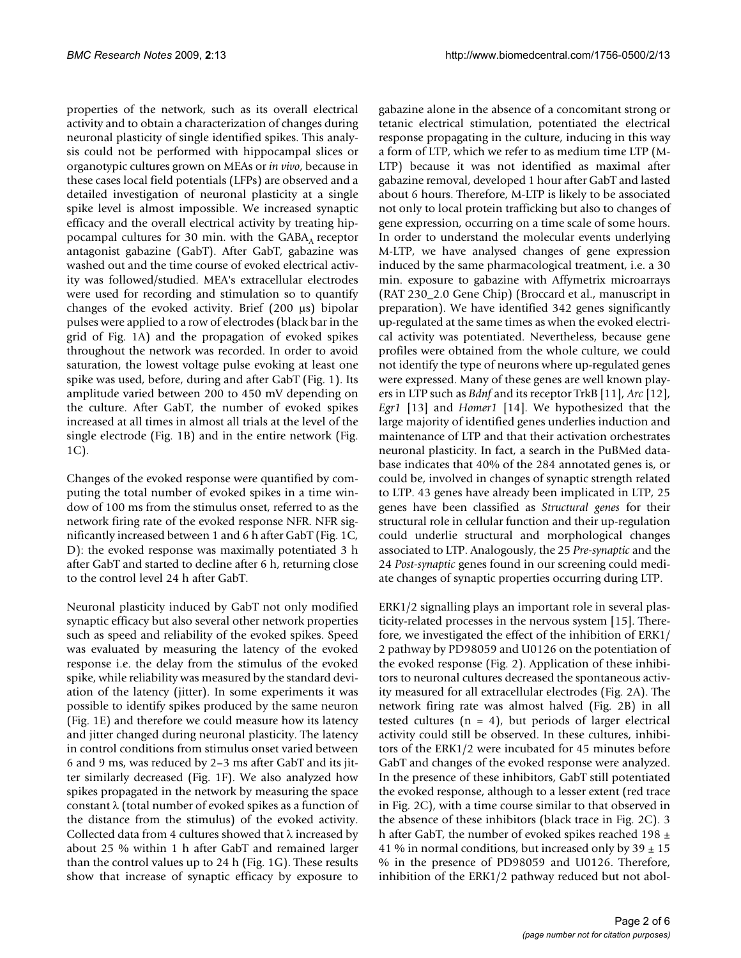properties of the network, such as its overall electrical activity and to obtain a characterization of changes during neuronal plasticity of single identified spikes. This analysis could not be performed with hippocampal slices or organotypic cultures grown on MEAs or *in vivo*, because in these cases local field potentials (LFPs) are observed and a detailed investigation of neuronal plasticity at a single spike level is almost impossible. We increased synaptic efficacy and the overall electrical activity by treating hippocampal cultures for 30 min. with the  $GABA<sub>A</sub>$  receptor antagonist gabazine (GabT). After GabT, gabazine was washed out and the time course of evoked electrical activity was followed/studied. MEA's extracellular electrodes were used for recording and stimulation so to quantify changes of the evoked activity. Brief (200 μs) bipolar pulses were applied to a row of electrodes (black bar in the grid of Fig. 1A) and the propagation of evoked spikes throughout the network was recorded. In order to avoid saturation, the lowest voltage pulse evoking at least one spike was used, before, during and after GabT (Fig. 1). Its amplitude varied between 200 to 450 mV depending on the culture. After GabT, the number of evoked spikes increased at all times in almost all trials at the level of the single electrode (Fig. 1B) and in the entire network (Fig. 1C).

Changes of the evoked response were quantified by computing the total number of evoked spikes in a time window of 100 ms from the stimulus onset, referred to as the network firing rate of the evoked response NFR. NFR significantly increased between 1 and 6 h after GabT (Fig. 1C, D): the evoked response was maximally potentiated 3 h after GabT and started to decline after 6 h, returning close to the control level 24 h after GabT.

Neuronal plasticity induced by GabT not only modified synaptic efficacy but also several other network properties such as speed and reliability of the evoked spikes. Speed was evaluated by measuring the latency of the evoked response i.e. the delay from the stimulus of the evoked spike, while reliability was measured by the standard deviation of the latency (jitter). In some experiments it was possible to identify spikes produced by the same neuron (Fig. 1E) and therefore we could measure how its latency and jitter changed during neuronal plasticity. The latency in control conditions from stimulus onset varied between 6 and 9 ms, was reduced by 2–3 ms after GabT and its jitter similarly decreased (Fig. 1F). We also analyzed how spikes propagated in the network by measuring the space constant  $\lambda$  (total number of evoked spikes as a function of the distance from the stimulus) of the evoked activity. Collected data from 4 cultures showed that  $\lambda$  increased by about 25 % within 1 h after GabT and remained larger than the control values up to 24 h (Fig. 1G). These results show that increase of synaptic efficacy by exposure to

gabazine alone in the absence of a concomitant strong or tetanic electrical stimulation, potentiated the electrical response propagating in the culture, inducing in this way a form of LTP, which we refer to as medium time LTP (M-LTP) because it was not identified as maximal after gabazine removal, developed 1 hour after GabT and lasted about 6 hours. Therefore, M-LTP is likely to be associated not only to local protein trafficking but also to changes of gene expression, occurring on a time scale of some hours. In order to understand the molecular events underlying M-LTP, we have analysed changes of gene expression induced by the same pharmacological treatment, i.e. a 30 min. exposure to gabazine with Affymetrix microarrays (RAT 230\_2.0 Gene Chip) (Broccard et al., manuscript in preparation). We have identified 342 genes significantly up-regulated at the same times as when the evoked electrical activity was potentiated. Nevertheless, because gene profiles were obtained from the whole culture, we could not identify the type of neurons where up-regulated genes were expressed. Many of these genes are well known players in LTP such as *Bdnf* and its receptor TrkB [11], *Arc* [12], *Egr1* [13] and *Homer1* [14]. We hypothesized that the large majority of identified genes underlies induction and maintenance of LTP and that their activation orchestrates neuronal plasticity. In fact, a search in the PuBMed database indicates that 40% of the 284 annotated genes is, or could be, involved in changes of synaptic strength related to LTP. 43 genes have already been implicated in LTP, 25 genes have been classified as *Structural genes* for their structural role in cellular function and their up-regulation could underlie structural and morphological changes associated to LTP. Analogously, the 25 *Pre-synaptic* and the 24 *Post-synaptic* genes found in our screening could mediate changes of synaptic properties occurring during LTP.

ERK1/2 signalling plays an important role in several plasticity-related processes in the nervous system [15]. Therefore, we investigated the effect of the inhibition of ERK1/ 2 pathway by PD98059 and U0126 on the potentiation of the evoked response (Fig. 2). Application of these inhibitors to neuronal cultures decreased the spontaneous activity measured for all extracellular electrodes (Fig. 2A). The network firing rate was almost halved (Fig. 2B) in all tested cultures  $(n = 4)$ , but periods of larger electrical activity could still be observed. In these cultures, inhibitors of the ERK1/2 were incubated for 45 minutes before GabT and changes of the evoked response were analyzed. In the presence of these inhibitors, GabT still potentiated the evoked response, although to a lesser extent (red trace in Fig. 2C), with a time course similar to that observed in the absence of these inhibitors (black trace in Fig. 2C). 3 h after GabT, the number of evoked spikes reached 198  $\pm$ 41 % in normal conditions, but increased only by  $39 \pm 15$ % in the presence of PD98059 and U0126. Therefore, inhibition of the ERK1/2 pathway reduced but not abol-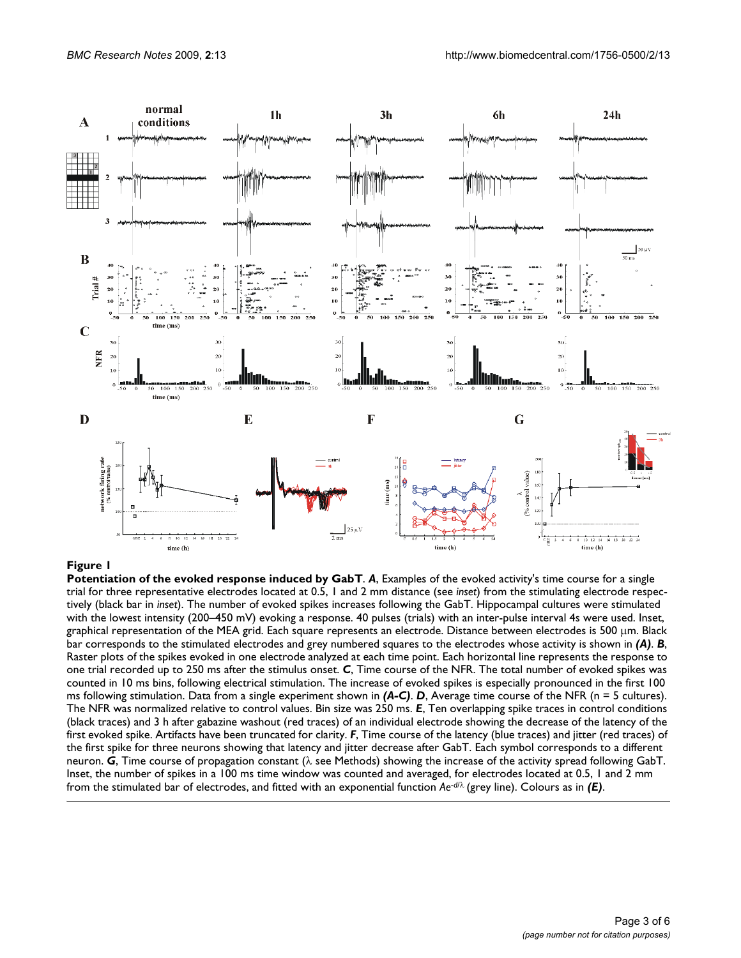

#### **Figure 1**

**Potentiation of the evoked response induced by GabT**. *A*, Examples of the evoked activity's time course for a single trial for three representative electrodes located at 0.5, 1 and 2 mm distance (see *inset*) from the stimulating electrode respectively (black bar in *inset*). The number of evoked spikes increases following the GabT. Hippocampal cultures were stimulated with the lowest intensity (200–450 mV) evoking a response. 40 pulses (trials) with an inter-pulse interval 4s were used. Inset, graphical representation of the MEA grid. Each square represents an electrode. Distance between electrodes is 500 μm. Black bar corresponds to the stimulated electrodes and grey numbered squares to the electrodes whose activity is shown in *(A)*. *B*, Raster plots of the spikes evoked in one electrode analyzed at each time point. Each horizontal line represents the response to one trial recorded up to 250 ms after the stimulus onset. *C*, Time course of the NFR. The total number of evoked spikes was counted in 10 ms bins, following electrical stimulation. The increase of evoked spikes is especially pronounced in the first 100 ms following stimulation. Data from a single experiment shown in *(A-C)*. *D*, Average time course of the NFR (n = 5 cultures). The NFR was normalized relative to control values. Bin size was 250 ms. *E*, Ten overlapping spike traces in control conditions (black traces) and 3 h after gabazine washout (red traces) of an individual electrode showing the decrease of the latency of the first evoked spike. Artifacts have been truncated for clarity. *F*, Time course of the latency (blue traces) and jitter (red traces) of the first spike for three neurons showing that latency and jitter decrease after GabT. Each symbol corresponds to a different neuron. *G*, Time course of propagation constant (λ see Methods) showing the increase of the activity spread following GabT. Inset, the number of spikes in a 100 ms time window was counted and averaged, for electrodes located at 0.5, 1 and 2 mm from the stimulated bar of electrodes, and fitted with an exponential function *Ae*-*d*/<sup>λ</sup> (grey line). Colours as in *(E)*.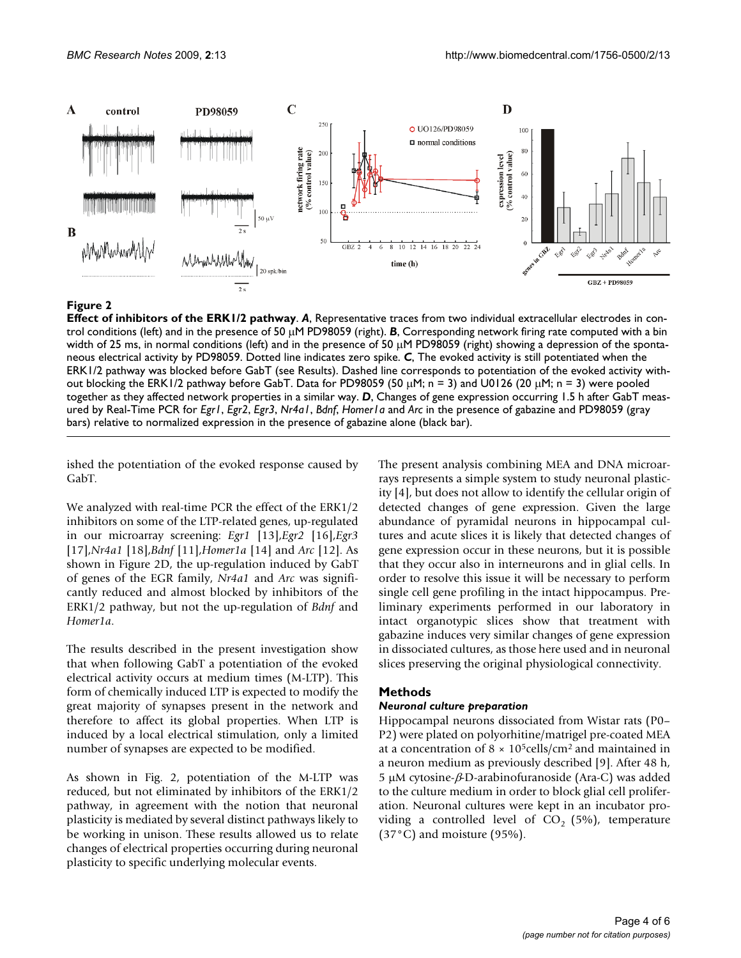

#### **Figure 2**

**Effect of inhibitors of the ERK1/2 pathway**. *A*, Representative traces from two individual extracellular electrodes in control conditions (left) and in the presence of 50 μM PD98059 (right). *B*, Corresponding network firing rate computed with a bin width of 25 ms, in normal conditions (left) and in the presence of 50 μM PD98059 (right) showing a depression of the spontaneous electrical activity by PD98059. Dotted line indicates zero spike. *C*, The evoked activity is still potentiated when the ERK1/2 pathway was blocked before GabT (see Results). Dashed line corresponds to potentiation of the evoked activity without blocking the ERK1/2 pathway before GabT. Data for PD98059 (50 μM; n = 3) and U0126 (20 μM; n = 3) were pooled together as they affected network properties in a similar way. *D*, Changes of gene expression occurring 1.5 h after GabT measured by Real-Time PCR for *Egr1*, *Egr2*, *Egr3*, *Nr4a1*, *Bdnf*, *Homer1a* and *Arc* in the presence of gabazine and PD98059 (gray bars) relative to normalized expression in the presence of gabazine alone (black bar).

ished the potentiation of the evoked response caused by GabT.

We analyzed with real-time PCR the effect of the ERK1/2 inhibitors on some of the LTP-related genes, up-regulated in our microarray screening: *Egr1* [13],*Egr2* [16],*Egr3* [17],*Nr4a1* [18],*Bdnf* [11],*Homer1a* [14] and *Arc* [12]. As shown in Figure 2D, the up-regulation induced by GabT of genes of the EGR family, *Nr4a1* and *Arc* was significantly reduced and almost blocked by inhibitors of the ERK1/2 pathway, but not the up-regulation of *Bdnf* and *Homer1a*.

The results described in the present investigation show that when following GabT a potentiation of the evoked electrical activity occurs at medium times (M-LTP). This form of chemically induced LTP is expected to modify the great majority of synapses present in the network and therefore to affect its global properties. When LTP is induced by a local electrical stimulation, only a limited number of synapses are expected to be modified.

As shown in Fig. 2, potentiation of the M-LTP was reduced, but not eliminated by inhibitors of the ERK1/2 pathway, in agreement with the notion that neuronal plasticity is mediated by several distinct pathways likely to be working in unison. These results allowed us to relate changes of electrical properties occurring during neuronal plasticity to specific underlying molecular events.

The present analysis combining MEA and DNA microarrays represents a simple system to study neuronal plasticity [4], but does not allow to identify the cellular origin of detected changes of gene expression. Given the large abundance of pyramidal neurons in hippocampal cultures and acute slices it is likely that detected changes of gene expression occur in these neurons, but it is possible that they occur also in interneurons and in glial cells. In order to resolve this issue it will be necessary to perform single cell gene profiling in the intact hippocampus. Preliminary experiments performed in our laboratory in intact organotypic slices show that treatment with gabazine induces very similar changes of gene expression in dissociated cultures, as those here used and in neuronal slices preserving the original physiological connectivity.

### **Methods**

#### *Neuronal culture preparation*

Hippocampal neurons dissociated from Wistar rats (P0– P2) were plated on polyorhitine/matrigel pre-coated MEA at a concentration of  $8 \times 10^5$ cells/cm<sup>2</sup> and maintained in a neuron medium as previously described [9]. After 48 h, 5 μM cytosine-β*-*D-arabinofuranoside (Ara-C) was added to the culture medium in order to block glial cell proliferation. Neuronal cultures were kept in an incubator providing a controlled level of  $CO<sub>2</sub>$  (5%), temperature (37°C) and moisture (95%).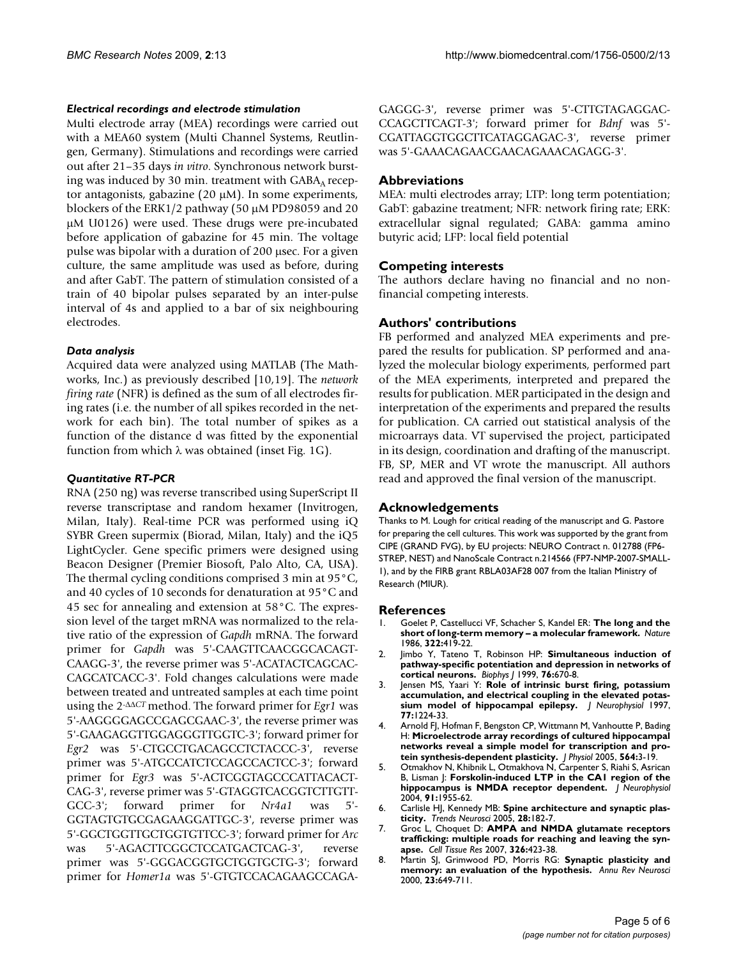#### *Electrical recordings and electrode stimulation*

Multi electrode array (MEA) recordings were carried out with a MEA60 system (Multi Channel Systems, Reutlingen, Germany). Stimulations and recordings were carried out after 21–35 days *in vitro*. Synchronous network bursting was induced by 30 min. treatment with  $GABA<sub>A</sub>$  receptor antagonists, gabazine (20 μM). In some experiments, blockers of the ERK1/2 pathway (50 μM PD98059 and 20 μM U0126) were used. These drugs were pre-incubated before application of gabazine for 45 min. The voltage pulse was bipolar with a duration of 200 μsec. For a given culture, the same amplitude was used as before, during and after GabT. The pattern of stimulation consisted of a train of 40 bipolar pulses separated by an inter-pulse interval of 4s and applied to a bar of six neighbouring electrodes.

### *Data analysis*

Acquired data were analyzed using MATLAB (The Mathworks, Inc.) as previously described [10,19]. The *network firing rate* (NFR) is defined as the sum of all electrodes firing rates (i.e. the number of all spikes recorded in the network for each bin). The total number of spikes as a function of the distance d was fitted by the exponential function from which  $\lambda$  was obtained (inset Fig. 1G).

#### *Quantitative RT-PCR*

RNA (250 ng) was reverse transcribed using SuperScript II reverse transcriptase and random hexamer (Invitrogen, Milan, Italy). Real-time PCR was performed using iQ SYBR Green supermix (Biorad, Milan, Italy) and the iQ5 LightCycler. Gene specific primers were designed using Beacon Designer (Premier Biosoft, Palo Alto, CA, USA). The thermal cycling conditions comprised 3 min at 95°C, and 40 cycles of 10 seconds for denaturation at 95°C and 45 sec for annealing and extension at 58°C. The expression level of the target mRNA was normalized to the relative ratio of the expression of *Gapdh* mRNA. The forward primer for *Gapdh* was 5'-CAAGTTCAACGGCACAGT-CAAGG-3', the reverse primer was 5'-ACATACTCAGCAC-CAGCATCACC-3'. Fold changes calculations were made between treated and untreated samples at each time point using the 2-ΔΔ*CT* method. The forward primer for *Egr1* was 5'-AAGGGGAGCCGAGCGAAC-3', the reverse primer was 5'-GAAGAGGTTGGAGGGTTGGTC-3'; forward primer for *Egr2* was 5'-CTGCCTGACAGCCTCTACCC-3', reverse primer was 5'-ATGCCATCTCCAGCCACTCC-3'; forward primer for *Egr3* was 5'-ACTCGGTAGCCCATTACACT-CAG-3', reverse primer was 5'-GTAGGTCACGGTCTTGTT-GCC-3'; forward primer for *Nr4a1* was 5'- GGTAGTGTGCGAGAAGGATTGC-3', reverse primer was 5'-GGCTGGTTGCTGGTGTTCC-3'; forward primer for *Arc* was 5'-AGACTTCGGCTCCATGACTCAG-3', reverse primer was 5'-GGGACGGTGCTGGTGCTG-3'; forward primer for *Homer1a* was 5'-GTGTCCACAGAAGCCAGA-

GAGGG-3', reverse primer was 5'-CTTGTAGAGGAC-CCAGCTTCAGT-3'; forward primer for *Bdnf* was 5'- CGATTAGGTGGCTTCATAGGAGAC-3', reverse primer was 5'-GAAACAGAACGAACAGAAACAGAGG-3'.

### **Abbreviations**

MEA: multi electrodes array; LTP: long term potentiation; GabT: gabazine treatment; NFR: network firing rate; ERK: extracellular signal regulated; GABA: gamma amino butyric acid; LFP: local field potential

### **Competing interests**

The authors declare having no financial and no nonfinancial competing interests.

### **Authors' contributions**

FB performed and analyzed MEA experiments and prepared the results for publication. SP performed and analyzed the molecular biology experiments, performed part of the MEA experiments, interpreted and prepared the results for publication. MER participated in the design and interpretation of the experiments and prepared the results for publication. CA carried out statistical analysis of the microarrays data. VT supervised the project, participated in its design, coordination and drafting of the manuscript. FB, SP, MER and VT wrote the manuscript. All authors read and approved the final version of the manuscript.

### **Acknowledgements**

Thanks to M. Lough for critical reading of the manuscript and G. Pastore for preparing the cell cultures. This work was supported by the grant from CIPE (GRAND FVG), by EU projects: NEURO Contract n. 012788 (FP6- STREP, NEST) and NanoScale Contract n.214566 (FP7-NMP-2007-SMALL-1), and by the FIRB grant RBLA03AF28 007 from the Italian Ministry of Research (MIUR).

#### **References**

- 1. Goelet P, Castellucci VF, Schacher S, Kandel ER: **[The long and the](http://www.ncbi.nlm.nih.gov/entrez/query.fcgi?cmd=Retrieve&db=PubMed&dopt=Abstract&list_uids=2874497) [short of long-term memory – a molecular framework.](http://www.ncbi.nlm.nih.gov/entrez/query.fcgi?cmd=Retrieve&db=PubMed&dopt=Abstract&list_uids=2874497)** *Nature* 1986, **322:**419-22.
- 2. Jimbo Y, Tateno T, Robinson HP: **[Simultaneous induction of](http://www.ncbi.nlm.nih.gov/entrez/query.fcgi?cmd=Retrieve&db=PubMed&dopt=Abstract&list_uids=9929472) [pathway-specific potentiation and depression in networks of](http://www.ncbi.nlm.nih.gov/entrez/query.fcgi?cmd=Retrieve&db=PubMed&dopt=Abstract&list_uids=9929472) [cortical neurons.](http://www.ncbi.nlm.nih.gov/entrez/query.fcgi?cmd=Retrieve&db=PubMed&dopt=Abstract&list_uids=9929472)** *Biophys J* 1999, **76:**670-8.
- 3. Jensen MS, Yaari Y: **[Role of intrinsic burst firing, potassium](http://www.ncbi.nlm.nih.gov/entrez/query.fcgi?cmd=Retrieve&db=PubMed&dopt=Abstract&list_uids=9084592) [accumulation, and electrical coupling in the elevated potas](http://www.ncbi.nlm.nih.gov/entrez/query.fcgi?cmd=Retrieve&db=PubMed&dopt=Abstract&list_uids=9084592)[sium model of hippocampal epilepsy.](http://www.ncbi.nlm.nih.gov/entrez/query.fcgi?cmd=Retrieve&db=PubMed&dopt=Abstract&list_uids=9084592)** *J Neurophysiol* 1997, **77:**1224-33.
- 4. Arnold FJ, Hofman F, Bengston CP, Wittmann M, Vanhoutte P, Bading H: **[Microelectrode array recordings of cultured hippocampal](http://www.ncbi.nlm.nih.gov/entrez/query.fcgi?cmd=Retrieve&db=PubMed&dopt=Abstract&list_uids=15618268) [networks reveal a simple model for transcription and pro](http://www.ncbi.nlm.nih.gov/entrez/query.fcgi?cmd=Retrieve&db=PubMed&dopt=Abstract&list_uids=15618268)[tein synthesis-dependent plasticity.](http://www.ncbi.nlm.nih.gov/entrez/query.fcgi?cmd=Retrieve&db=PubMed&dopt=Abstract&list_uids=15618268)** *J Physiol* 2005, **564:**3-19.
- 5. Otmakhov N, Khibnik L, Otmakhova N, Carpenter S, Riahi S, Asrican B, Lisman J: **[Forskolin-induced LTP in the CA1 region of the](http://www.ncbi.nlm.nih.gov/entrez/query.fcgi?cmd=Retrieve&db=PubMed&dopt=Abstract&list_uids=14702333) [hippocampus is NMDA receptor dependent.](http://www.ncbi.nlm.nih.gov/entrez/query.fcgi?cmd=Retrieve&db=PubMed&dopt=Abstract&list_uids=14702333)** *J Neurophysiol* 2004, **91:**1955-62.
- 6. Carlisle HJ, Kennedy MB: **[Spine architecture and synaptic plas](http://www.ncbi.nlm.nih.gov/entrez/query.fcgi?cmd=Retrieve&db=PubMed&dopt=Abstract&list_uids=15808352)[ticity.](http://www.ncbi.nlm.nih.gov/entrez/query.fcgi?cmd=Retrieve&db=PubMed&dopt=Abstract&list_uids=15808352)** *Trends Neurosci* 2005, **28:**182-7.
- 7. Groc L, Choquet D: **AMPA and NMDA glutamate receptors trafficking: multiple roads for reaching and leaving the synapse.** *Cell Tissue Res* 2007, **326:**423-38.
- 8. Martin SJ, Grimwood PD, Morris RG: **[Synaptic plasticity and](http://www.ncbi.nlm.nih.gov/entrez/query.fcgi?cmd=Retrieve&db=PubMed&dopt=Abstract&list_uids=10845078) [memory: an evaluation of the hypothesis.](http://www.ncbi.nlm.nih.gov/entrez/query.fcgi?cmd=Retrieve&db=PubMed&dopt=Abstract&list_uids=10845078)** *Annu Rev Neurosci* 2000, **23:**649-711.